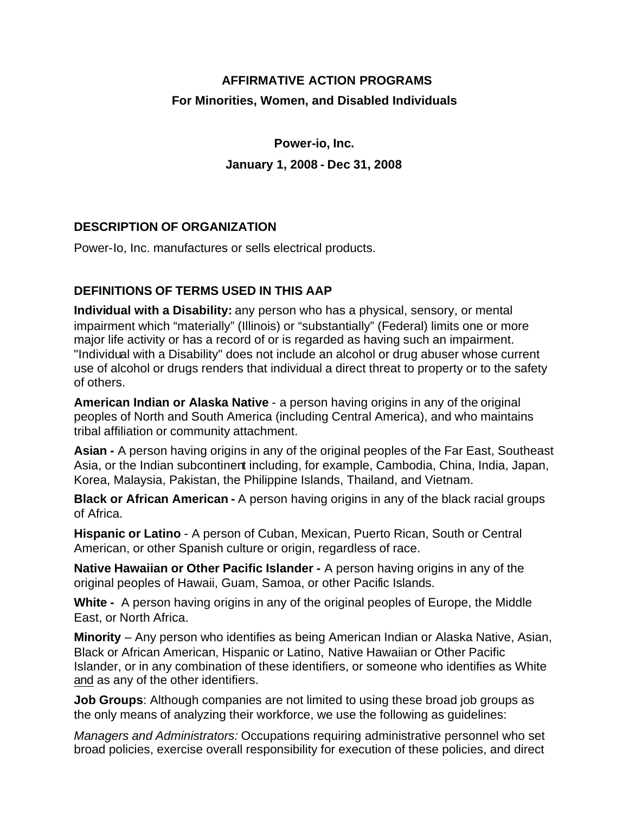# **AFFIRMATIVE ACTION PROGRAMS For Minorities, Women, and Disabled Individuals**

**Power-io, Inc. January 1, 2008 - Dec 31, 2008**

# **DESCRIPTION OF ORGANIZATION**

Power-Io, Inc. manufactures or sells electrical products.

# **DEFINITIONS OF TERMS USED IN THIS AAP**

**Individual with a Disability:** any person who has a physical, sensory, or mental impairment which "materially" (Illinois) or "substantially" (Federal) limits one or more major life activity or has a record of or is regarded as having such an impairment. "Individual with a Disability" does not include an alcohol or drug abuser whose current use of alcohol or drugs renders that individual a direct threat to property or to the safety of others.

**American Indian or Alaska Native** - a person having origins in any of the original peoples of North and South America (including Central America), and who maintains tribal affiliation or community attachment.

**Asian -** A person having origins in any of the original peoples of the Far East, Southeast Asia, or the Indian subcontinent including, for example, Cambodia, China, India, Japan, Korea, Malaysia, Pakistan, the Philippine Islands, Thailand, and Vietnam.

**Black or African American -** A person having origins in any of the black racial groups of Africa.

**Hispanic or Latino** - A person of Cuban, Mexican, Puerto Rican, South or Central American, or other Spanish culture or origin, regardless of race.

**Native Hawaiian or Other Pacific Islander -** A person having origins in any of the original peoples of Hawaii, Guam, Samoa, or other Pacific Islands.

**White -** A person having origins in any of the original peoples of Europe, the Middle East, or North Africa.

**Minority** – Any person who identifies as being American Indian or Alaska Native, Asian, Black or African American, Hispanic or Latino, Native Hawaiian or Other Pacific Islander, or in any combination of these identifiers, or someone who identifies as White and as any of the other identifiers.

**Job Groups**: Although companies are not limited to using these broad job groups as the only means of analyzing their workforce, we use the following as guidelines:

*Managers and Administrators:* Occupations requiring administrative personnel who set broad policies, exercise overall responsibility for execution of these policies, and direct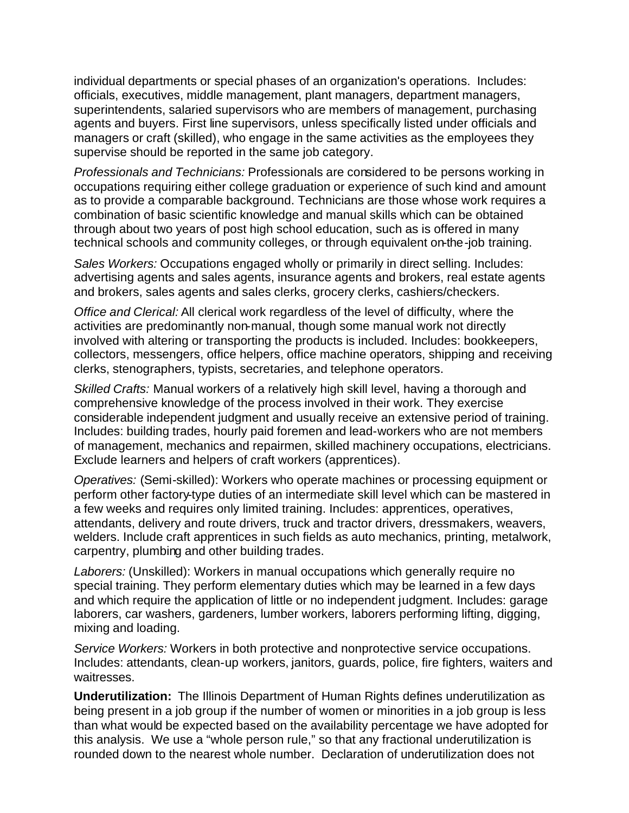individual departments or special phases of an organization's operations. Includes: officials, executives, middle management, plant managers, department managers, superintendents, salaried supervisors who are members of management, purchasing agents and buyers. First line supervisors, unless specifically listed under officials and managers or craft (skilled), who engage in the same activities as the employees they supervise should be reported in the same job category.

*Professionals and Technicians:* Professionals are considered to be persons working in occupations requiring either college graduation or experience of such kind and amount as to provide a comparable background. Technicians are those whose work requires a combination of basic scientific knowledge and manual skills which can be obtained through about two years of post high school education, such as is offered in many technical schools and community colleges, or through equivalent on-the-job training.

*Sales Workers:* Occupations engaged wholly or primarily in direct selling. Includes: advertising agents and sales agents, insurance agents and brokers, real estate agents and brokers, sales agents and sales clerks, grocery clerks, cashiers/checkers.

*Office and Clerical:* All clerical work regardless of the level of difficulty, where the activities are predominantly non-manual, though some manual work not directly involved with altering or transporting the products is included. Includes: bookkeepers, collectors, messengers, office helpers, office machine operators, shipping and receiving clerks, stenographers, typists, secretaries, and telephone operators.

*Skilled Crafts:* Manual workers of a relatively high skill level, having a thorough and comprehensive knowledge of the process involved in their work. They exercise considerable independent judgment and usually receive an extensive period of training. Includes: building trades, hourly paid foremen and lead-workers who are not members of management, mechanics and repairmen, skilled machinery occupations, electricians. Exclude learners and helpers of craft workers (apprentices).

*Operatives:* (Semi-skilled): Workers who operate machines or processing equipment or perform other factory-type duties of an intermediate skill level which can be mastered in a few weeks and requires only limited training. Includes: apprentices, operatives, attendants, delivery and route drivers, truck and tractor drivers, dressmakers, weavers, welders. Include craft apprentices in such fields as auto mechanics, printing, metalwork, carpentry, plumbing and other building trades.

*Laborers:* (Unskilled): Workers in manual occupations which generally require no special training. They perform elementary duties which may be learned in a few days and which require the application of little or no independent judgment. Includes: garage laborers, car washers, gardeners, lumber workers, laborers performing lifting, digging, mixing and loading.

*Service Workers:* Workers in both protective and nonprotective service occupations. Includes: attendants, clean-up workers, janitors, guards, police, fire fighters, waiters and waitresses.

**Underutilization:** The Illinois Department of Human Rights defines underutilization as being present in a job group if the number of women or minorities in a job group is less than what would be expected based on the availability percentage we have adopted for this analysis. We use a "whole person rule," so that any fractional underutilization is rounded down to the nearest whole number. Declaration of underutilization does not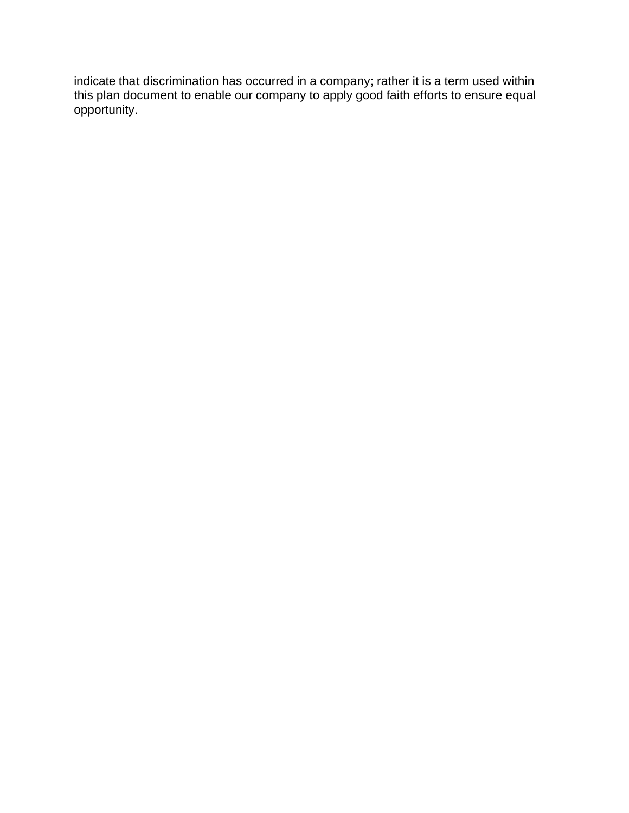indicate that discrimination has occurred in a company; rather it is a term used within this plan document to enable our company to apply good faith efforts to ensure equal opportunity.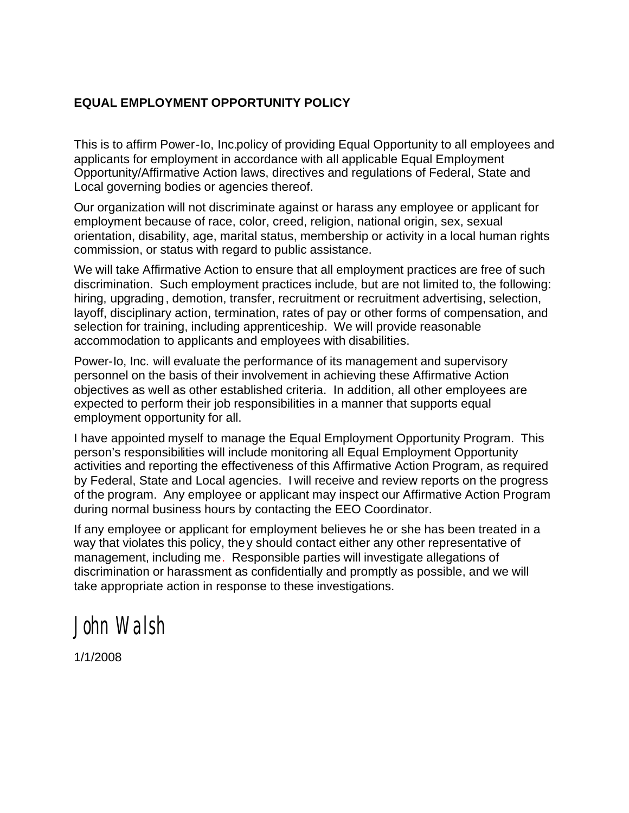### **EQUAL EMPLOYMENT OPPORTUNITY POLICY**

This is to affirm Power-Io, Inc.policy of providing Equal Opportunity to all employees and applicants for employment in accordance with all applicable Equal Employment Opportunity/Affirmative Action laws, directives and regulations of Federal, State and Local governing bodies or agencies thereof.

Our organization will not discriminate against or harass any employee or applicant for employment because of race, color, creed, religion, national origin, sex, sexual orientation, disability, age, marital status, membership or activity in a local human rights commission, or status with regard to public assistance.

We will take Affirmative Action to ensure that all employment practices are free of such discrimination. Such employment practices include, but are not limited to, the following: hiring, upgrading, demotion, transfer, recruitment or recruitment advertising, selection, layoff, disciplinary action, termination, rates of pay or other forms of compensation, and selection for training, including apprenticeship. We will provide reasonable accommodation to applicants and employees with disabilities.

Power-Io, Inc. will evaluate the performance of its management and supervisory personnel on the basis of their involvement in achieving these Affirmative Action objectives as well as other established criteria. In addition, all other employees are expected to perform their job responsibilities in a manner that supports equal employment opportunity for all.

I have appointed myself to manage the Equal Employment Opportunity Program. This person's responsibilities will include monitoring all Equal Employment Opportunity activities and reporting the effectiveness of this Affirmative Action Program, as required by Federal, State and Local agencies. I will receive and review reports on the progress of the program. Any employee or applicant may inspect our Affirmative Action Program during normal business hours by contacting the EEO Coordinator.

If any employee or applicant for employment believes he or she has been treated in a way that violates this policy, they should contact either any other representative of management, including me.Responsible parties will investigate allegations of discrimination or harassment as confidentially and promptly as possible, and we will take appropriate action in response to these investigations.

*John Walsh*

1/1/2008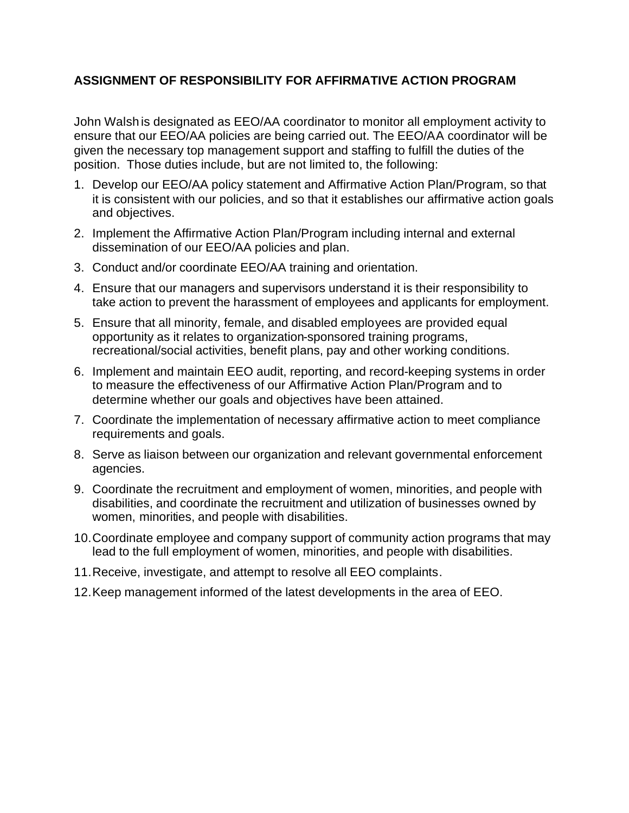# **ASSIGNMENT OF RESPONSIBILITY FOR AFFIRMATIVE ACTION PROGRAM**

John Walsh is designated as EEO/AA coordinator to monitor all employment activity to ensure that our EEO/AA policies are being carried out. The EEO/AA coordinator will be given the necessary top management support and staffing to fulfill the duties of the position. Those duties include, but are not limited to, the following:

- 1. Develop our EEO/AA policy statement and Affirmative Action Plan/Program, so that it is consistent with our policies, and so that it establishes our affirmative action goals and objectives.
- 2. Implement the Affirmative Action Plan/Program including internal and external dissemination of our EEO/AA policies and plan.
- 3. Conduct and/or coordinate EEO/AA training and orientation.
- 4. Ensure that our managers and supervisors understand it is their responsibility to take action to prevent the harassment of employees and applicants for employment.
- 5. Ensure that all minority, female, and disabled employees are provided equal opportunity as it relates to organization-sponsored training programs, recreational/social activities, benefit plans, pay and other working conditions.
- 6. Implement and maintain EEO audit, reporting, and record-keeping systems in order to measure the effectiveness of our Affirmative Action Plan/Program and to determine whether our goals and objectives have been attained.
- 7. Coordinate the implementation of necessary affirmative action to meet compliance requirements and goals.
- 8. Serve as liaison between our organization and relevant governmental enforcement agencies.
- 9. Coordinate the recruitment and employment of women, minorities, and people with disabilities, and coordinate the recruitment and utilization of businesses owned by women, minorities, and people with disabilities.
- 10.Coordinate employee and company support of community action programs that may lead to the full employment of women, minorities, and people with disabilities.
- 11.Receive, investigate, and attempt to resolve all EEO complaints.
- 12.Keep management informed of the latest developments in the area of EEO.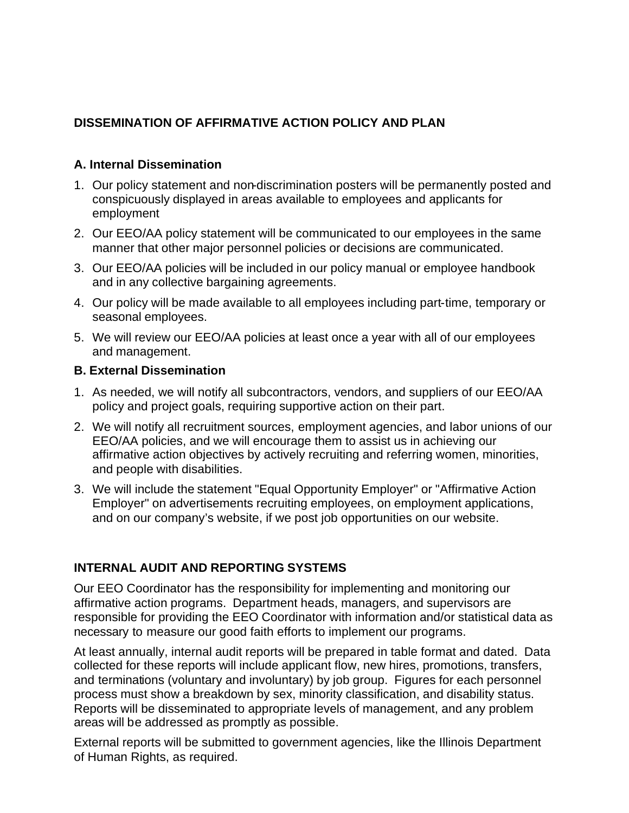# **DISSEMINATION OF AFFIRMATIVE ACTION POLICY AND PLAN**

# **A. Internal Dissemination**

- 1. Our policy statement and non-discrimination posters will be permanently posted and conspicuously displayed in areas available to employees and applicants for employment
- 2. Our EEO/AA policy statement will be communicated to our employees in the same manner that other major personnel policies or decisions are communicated.
- 3. Our EEO/AA policies will be included in our policy manual or employee handbook and in any collective bargaining agreements.
- 4. Our policy will be made available to all employees including part-time, temporary or seasonal employees.
- 5. We will review our EEO/AA policies at least once a year with all of our employees and management.

#### **B. External Dissemination**

- 1. As needed, we will notify all subcontractors, vendors, and suppliers of our EEO/AA policy and project goals, requiring supportive action on their part.
- 2. We will notify all recruitment sources, employment agencies, and labor unions of our EEO/AA policies, and we will encourage them to assist us in achieving our affirmative action objectives by actively recruiting and referring women, minorities, and people with disabilities.
- 3. We will include the statement "Equal Opportunity Employer" or "Affirmative Action Employer" on advertisements recruiting employees, on employment applications, and on our company's website, if we post job opportunities on our website.

# **INTERNAL AUDIT AND REPORTING SYSTEMS**

Our EEO Coordinator has the responsibility for implementing and monitoring our affirmative action programs. Department heads, managers, and supervisors are responsible for providing the EEO Coordinator with information and/or statistical data as necessary to measure our good faith efforts to implement our programs.

At least annually, internal audit reports will be prepared in table format and dated. Data collected for these reports will include applicant flow, new hires, promotions, transfers, and terminations (voluntary and involuntary) by job group. Figures for each personnel process must show a breakdown by sex, minority classification, and disability status. Reports will be disseminated to appropriate levels of management, and any problem areas will be addressed as promptly as possible.

External reports will be submitted to government agencies, like the Illinois Department of Human Rights, as required.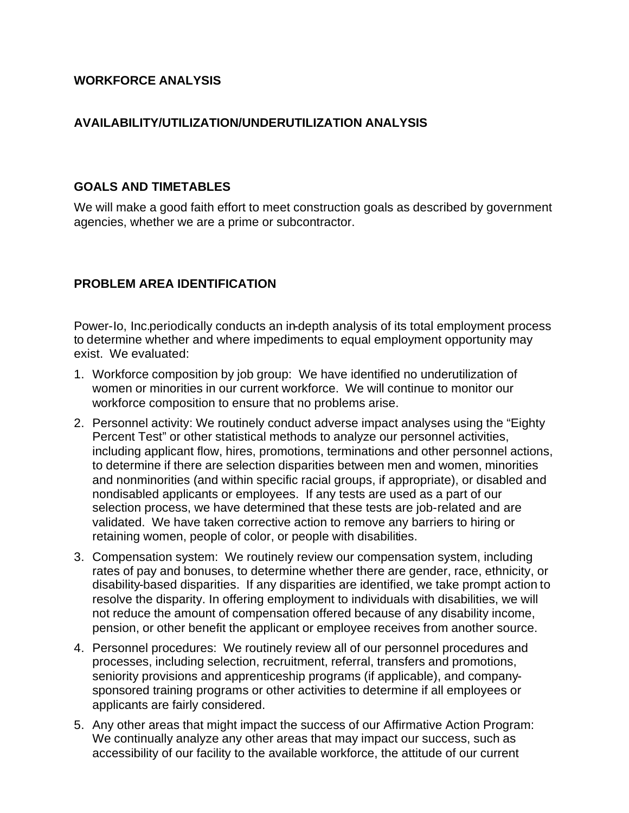#### **WORKFORCE ANALYSIS**

### **AVAILABILITY/UTILIZATION/UNDERUTILIZATION ANALYSIS**

#### **GOALS AND TIMETABLES**

We will make a good faith effort to meet construction goals as described by government agencies, whether we are a prime or subcontractor.

# **PROBLEM AREA IDENTIFICATION**

Power-Io, Inc.periodically conducts an in-depth analysis of its total employment process to determine whether and where impediments to equal employment opportunity may exist. We evaluated:

- 1. Workforce composition by job group: We have identified no underutilization of women or minorities in our current workforce. We will continue to monitor our workforce composition to ensure that no problems arise.
- 2. Personnel activity: We routinely conduct adverse impact analyses using the "Eighty Percent Test" or other statistical methods to analyze our personnel activities, including applicant flow, hires, promotions, terminations and other personnel actions, to determine if there are selection disparities between men and women, minorities and nonminorities (and within specific racial groups, if appropriate), or disabled and nondisabled applicants or employees. If any tests are used as a part of our selection process, we have determined that these tests are job-related and are validated. We have taken corrective action to remove any barriers to hiring or retaining women, people of color, or people with disabilities.
- 3. Compensation system: We routinely review our compensation system, including rates of pay and bonuses, to determine whether there are gender, race, ethnicity, or disability-based disparities. If any disparities are identified, we take prompt action to resolve the disparity. In offering employment to individuals with disabilities, we will not reduce the amount of compensation offered because of any disability income, pension, or other benefit the applicant or employee receives from another source.
- 4. Personnel procedures: We routinely review all of our personnel procedures and processes, including selection, recruitment, referral, transfers and promotions, seniority provisions and apprenticeship programs (if applicable), and companysponsored training programs or other activities to determine if all employees or applicants are fairly considered.
- 5. Any other areas that might impact the success of our Affirmative Action Program: We continually analyze any other areas that may impact our success, such as accessibility of our facility to the available workforce, the attitude of our current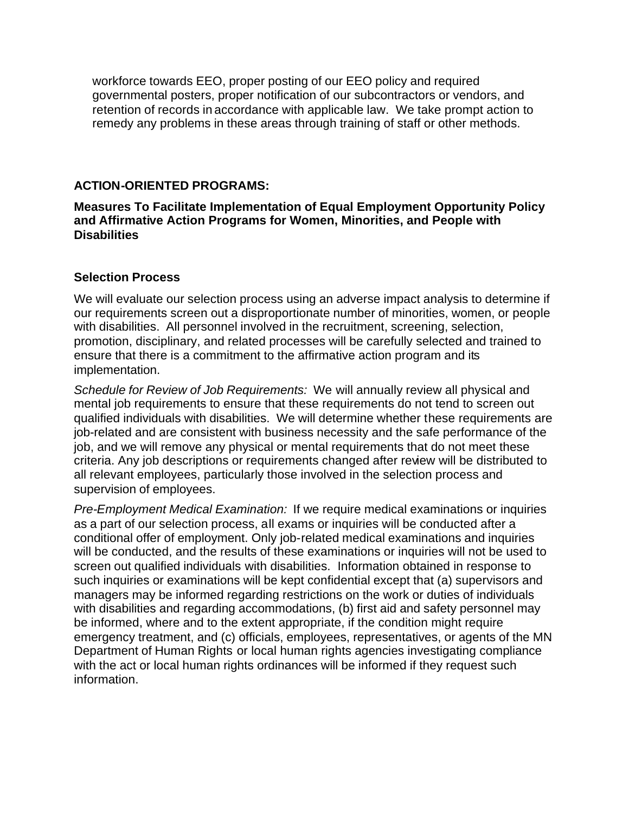workforce towards EEO, proper posting of our EEO policy and required governmental posters, proper notification of our subcontractors or vendors, and retention of records in accordance with applicable law. We take prompt action to remedy any problems in these areas through training of staff or other methods.

#### **ACTION-ORIENTED PROGRAMS:**

**Measures To Facilitate Implementation of Equal Employment Opportunity Policy and Affirmative Action Programs for Women, Minorities, and People with Disabilities** 

#### **Selection Process**

We will evaluate our selection process using an adverse impact analysis to determine if our requirements screen out a disproportionate number of minorities, women, or people with disabilities. All personnel involved in the recruitment, screening, selection, promotion, disciplinary, and related processes will be carefully selected and trained to ensure that there is a commitment to the affirmative action program and its implementation.

*Schedule for Review of Job Requirements:* We will annually review all physical and mental job requirements to ensure that these requirements do not tend to screen out qualified individuals with disabilities. We will determine whether these requirements are job-related and are consistent with business necessity and the safe performance of the job, and we will remove any physical or mental requirements that do not meet these criteria. Any job descriptions or requirements changed after review will be distributed to all relevant employees, particularly those involved in the selection process and supervision of employees.

*Pre-Employment Medical Examination:* If we require medical examinations or inquiries as a part of our selection process, all exams or inquiries will be conducted after a conditional offer of employment. Only job-related medical examinations and inquiries will be conducted, and the results of these examinations or inquiries will not be used to screen out qualified individuals with disabilities. Information obtained in response to such inquiries or examinations will be kept confidential except that (a) supervisors and managers may be informed regarding restrictions on the work or duties of individuals with disabilities and regarding accommodations, (b) first aid and safety personnel may be informed, where and to the extent appropriate, if the condition might require emergency treatment, and (c) officials, employees, representatives, or agents of the MN Department of Human Rights or local human rights agencies investigating compliance with the act or local human rights ordinances will be informed if they request such information.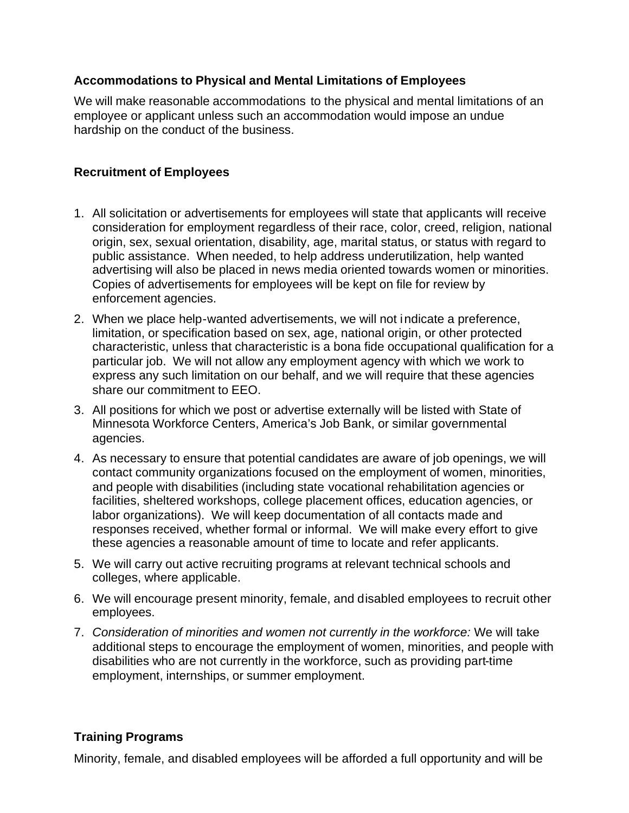# **Accommodations to Physical and Mental Limitations of Employees**

We will make reasonable accommodations to the physical and mental limitations of an employee or applicant unless such an accommodation would impose an undue hardship on the conduct of the business.

#### **Recruitment of Employees**

- 1. All solicitation or advertisements for employees will state that applicants will receive consideration for employment regardless of their race, color, creed, religion, national origin, sex, sexual orientation, disability, age, marital status, or status with regard to public assistance. When needed, to help address underutilization, help wanted advertising will also be placed in news media oriented towards women or minorities. Copies of advertisements for employees will be kept on file for review by enforcement agencies.
- 2. When we place help-wanted advertisements, we will not indicate a preference, limitation, or specification based on sex, age, national origin, or other protected characteristic, unless that characteristic is a bona fide occupational qualification for a particular job. We will not allow any employment agency with which we work to express any such limitation on our behalf, and we will require that these agencies share our commitment to EEO.
- 3. All positions for which we post or advertise externally will be listed with State of Minnesota Workforce Centers, America's Job Bank, or similar governmental agencies.
- 4. As necessary to ensure that potential candidates are aware of job openings, we will contact community organizations focused on the employment of women, minorities, and people with disabilities (including state vocational rehabilitation agencies or facilities, sheltered workshops, college placement offices, education agencies, or labor organizations). We will keep documentation of all contacts made and responses received, whether formal or informal. We will make every effort to give these agencies a reasonable amount of time to locate and refer applicants.
- 5. We will carry out active recruiting programs at relevant technical schools and colleges, where applicable.
- 6. We will encourage present minority, female, and disabled employees to recruit other employees.
- 7. *Consideration of minorities and women not currently in the workforce:* We will take additional steps to encourage the employment of women, minorities, and people with disabilities who are not currently in the workforce, such as providing part-time employment, internships, or summer employment.

#### **Training Programs**

Minority, female, and disabled employees will be afforded a full opportunity and will be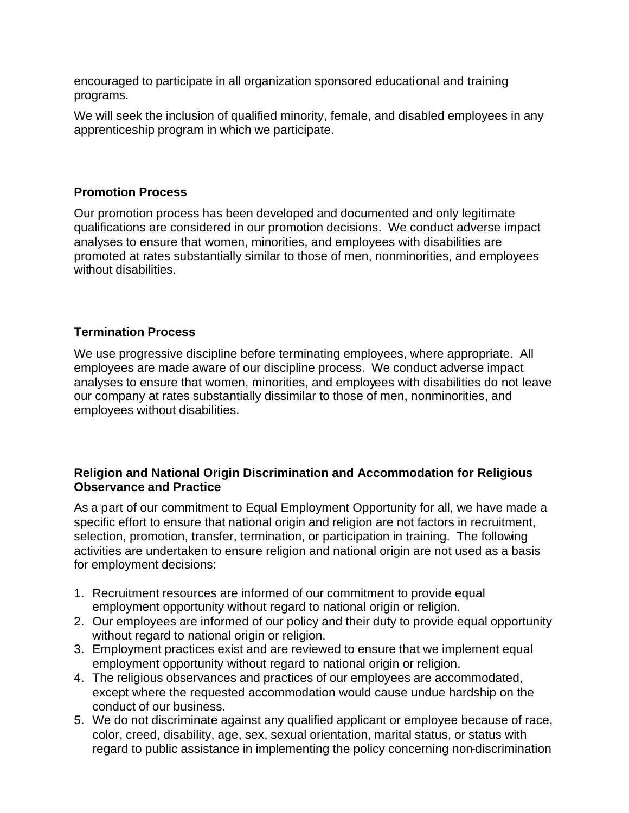encouraged to participate in all organization sponsored educational and training programs.

We will seek the inclusion of qualified minority, female, and disabled employees in any apprenticeship program in which we participate.

#### **Promotion Process**

Our promotion process has been developed and documented and only legitimate qualifications are considered in our promotion decisions. We conduct adverse impact analyses to ensure that women, minorities, and employees with disabilities are promoted at rates substantially similar to those of men, nonminorities, and employees without disabilities.

#### **Termination Process**

We use progressive discipline before terminating employees, where appropriate. All employees are made aware of our discipline process. We conduct adverse impact analyses to ensure that women, minorities, and employees with disabilities do not leave our company at rates substantially dissimilar to those of men, nonminorities, and employees without disabilities.

#### **Religion and National Origin Discrimination and Accommodation for Religious Observance and Practice**

As a part of our commitment to Equal Employment Opportunity for all, we have made a specific effort to ensure that national origin and religion are not factors in recruitment, selection, promotion, transfer, termination, or participation in training. The following activities are undertaken to ensure religion and national origin are not used as a basis for employment decisions:

- 1. Recruitment resources are informed of our commitment to provide equal employment opportunity without regard to national origin or religion.
- 2. Our employees are informed of our policy and their duty to provide equal opportunity without regard to national origin or religion.
- 3. Employment practices exist and are reviewed to ensure that we implement equal employment opportunity without regard to national origin or religion.
- 4. The religious observances and practices of our employees are accommodated, except where the requested accommodation would cause undue hardship on the conduct of our business.
- 5. We do not discriminate against any qualified applicant or employee because of race, color, creed, disability, age, sex, sexual orientation, marital status, or status with regard to public assistance in implementing the policy concerning non-discrimination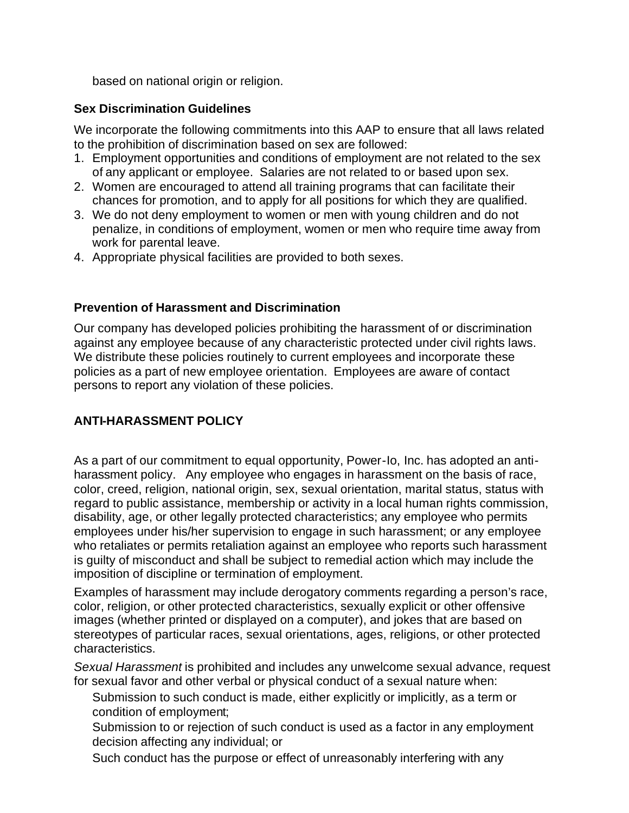based on national origin or religion.

# **Sex Discrimination Guidelines**

We incorporate the following commitments into this AAP to ensure that all laws related to the prohibition of discrimination based on sex are followed:

- 1. Employment opportunities and conditions of employment are not related to the sex of any applicant or employee. Salaries are not related to or based upon sex.
- 2. Women are encouraged to attend all training programs that can facilitate their chances for promotion, and to apply for all positions for which they are qualified.
- 3. We do not deny employment to women or men with young children and do not penalize, in conditions of employment, women or men who require time away from work for parental leave.
- 4. Appropriate physical facilities are provided to both sexes.

# **Prevention of Harassment and Discrimination**

Our company has developed policies prohibiting the harassment of or discrimination against any employee because of any characteristic protected under civil rights laws. We distribute these policies routinely to current employees and incorporate these policies as a part of new employee orientation. Employees are aware of contact persons to report any violation of these policies.

# **ANTI-HARASSMENT POLICY**

As a part of our commitment to equal opportunity, Power-Io, Inc. has adopted an antiharassment policy. Any employee who engages in harassment on the basis of race, color, creed, religion, national origin, sex, sexual orientation, marital status, status with regard to public assistance, membership or activity in a local human rights commission, disability, age, or other legally protected characteristics; any employee who permits employees under his/her supervision to engage in such harassment; or any employee who retaliates or permits retaliation against an employee who reports such harassment is guilty of misconduct and shall be subject to remedial action which may include the imposition of discipline or termination of employment.

Examples of harassment may include derogatory comments regarding a person's race, color, religion, or other protected characteristics, sexually explicit or other offensive images (whether printed or displayed on a computer), and jokes that are based on stereotypes of particular races, sexual orientations, ages, religions, or other protected characteristics.

*Sexual Harassment* is prohibited and includes any unwelcome sexual advance, request for sexual favor and other verbal or physical conduct of a sexual nature when:

- Submission to such conduct is made, either explicitly or implicitly, as a term or condition of employment;
- Submission to or rejection of such conduct is used as a factor in any employment decision affecting any individual; or
- Such conduct has the purpose or effect of unreasonably interfering with any